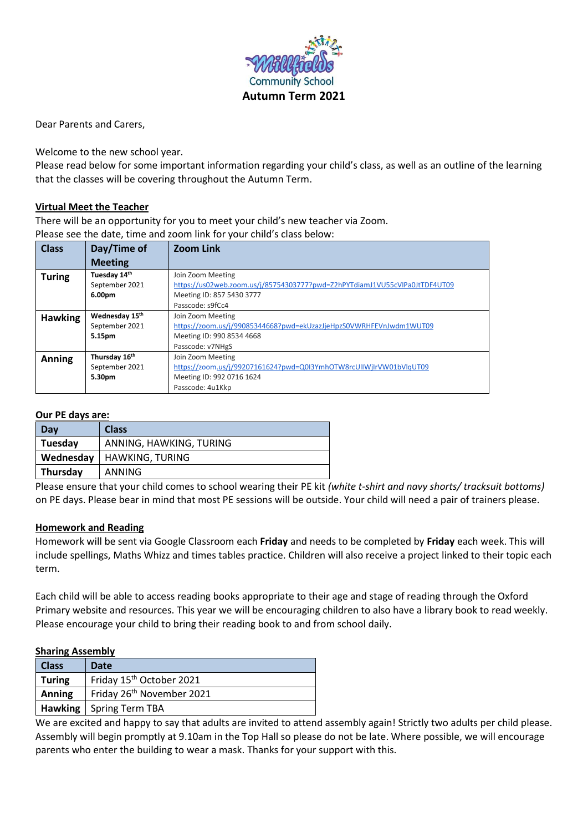

Dear Parents and Carers,

Welcome to the new school year.

Please read below for some important information regarding your child's class, as well as an outline of the learning that the classes will be covering throughout the Autumn Term.

## **Virtual Meet the Teacher**

There will be an opportunity for you to meet your child's new teacher via Zoom. Please see the date, time and zoom link for your child's class below:

| <b>Class</b>   | Day/Time of                | <b>Zoom Link</b>                                                           |
|----------------|----------------------------|----------------------------------------------------------------------------|
|                | <b>Meeting</b>             |                                                                            |
| <b>Turing</b>  | Tuesday 14th               | Join Zoom Meeting                                                          |
|                | September 2021             | https://us02web.zoom.us/j/85754303777?pwd=Z2hPYTdiamJ1VU55cVlPa0JtTDF4UT09 |
|                | 6.00pm                     | Meeting ID: 857 5430 3777                                                  |
|                |                            | Passcode: s9fCc4                                                           |
| <b>Hawking</b> | Wednesday 15 <sup>th</sup> | Join Zoom Meeting                                                          |
|                | September 2021             | https://zoom.us/j/99085344668?pwd=ekUzazJjeHpzS0VWRHFEVnJwdm1WUT09         |
|                | 5.15pm                     | Meeting ID: 990 8534 4668                                                  |
|                |                            | Passcode: v7NHgS                                                           |
| <b>Anning</b>  | Thursday 16 <sup>th</sup>  | Join Zoom Meeting                                                          |
|                | September 2021             | https://zoom.us/j/99207161624?pwd=Q0I3YmhOTW8rcUllWjIrVW01bVlqUT09         |
|                | 5.30pm                     | Meeting ID: 992 0716 1624                                                  |
|                |                            | Passcode: 4u1Kkp                                                           |

#### **Our PE days are:**

| Day       | <b>Class</b>            |
|-----------|-------------------------|
| Tuesday   | ANNING, HAWKING, TURING |
| Wednesday | <b>HAWKING, TURING</b>  |
| Thursday  | ANNING                  |
|           |                         |

Please ensure that your child comes to school wearing their PE kit *(white t-shirt and navy shorts/ tracksuit bottoms)* on PE days. Please bear in mind that most PE sessions will be outside. Your child will need a pair of trainers please.

### **Homework and Reading**

Homework will be sent via Google Classroom each **Friday** and needs to be completed by **Friday** each week. This will include spellings, Maths Whizz and times tables practice. Children will also receive a project linked to their topic each term.

Each child will be able to access reading books appropriate to their age and stage of reading through the Oxford Primary website and resources. This year we will be encouraging children to also have a library book to read weekly. Please encourage your child to bring their reading book to and from school daily.

#### **Sharing Assembly**

| <b>Class</b>  | Date                                  |
|---------------|---------------------------------------|
| <b>Turing</b> | Friday 15 <sup>th</sup> October 2021  |
| Anning        | Friday 26 <sup>th</sup> November 2021 |
|               | <b>Hawking</b>   Spring Term TBA      |

We are excited and happy to say that adults are invited to attend assembly again! Strictly two adults per child please. Assembly will begin promptly at 9.10am in the Top Hall so please do not be late. Where possible, we will encourage parents who enter the building to wear a mask. Thanks for your support with this.